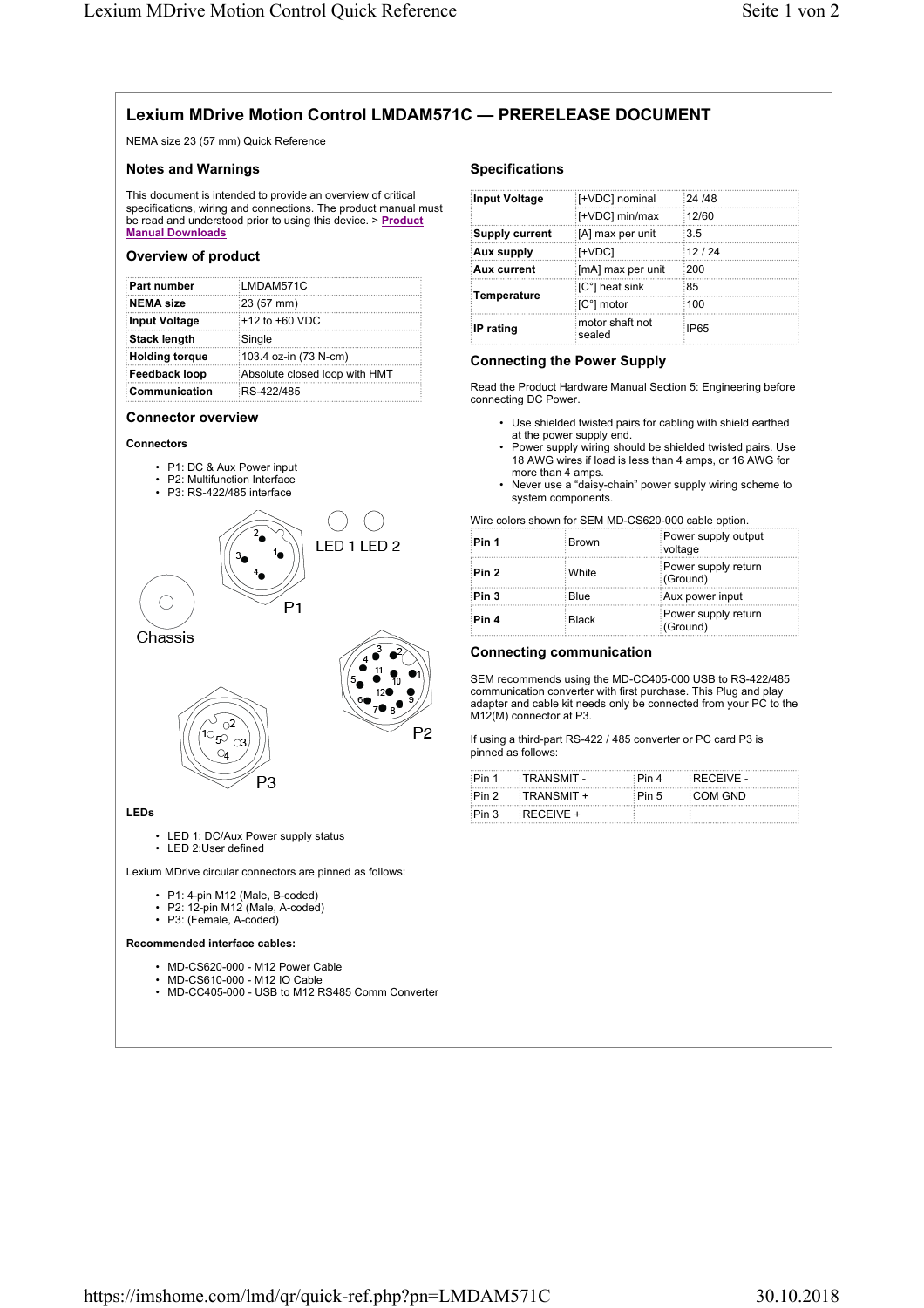# **Lexium MDrive Motion Control LMDAM571C — PRERELEASE DOCUMENT**

NEMA size 23 (57 mm) Quick Reference

# **Notes and Warnings**

This document is intended to provide an overview of critical specifications, wiring and connections. The product manual must be read and understood prior to using this device. > **Product Manual Downloads**

### **Overview of product**

| <b>Part number</b>    | LMDAM571C                     |
|-----------------------|-------------------------------|
| NEMA size             | 23 (57 mm)                    |
| Input Voltage         | $+12$ to $+60$ VDC            |
| <b>Stack length</b>   | Single                        |
| <b>Holding torque</b> | 103.4 oz-in (73 N-cm)         |
| Feedback loop         | Absolute closed loop with HMT |
| <b>Communication</b>  | RS-422/485                    |

#### **Connector overview**



- P1: DC & Aux Power input
- P2: Multifunction Interface



#### **LEDs**

• LED 1: DC/Aux Power supply status • LED 2:User defined

Lexium MDrive circular connectors are pinned as follows:

P<sub>3</sub>

• P1: 4-pin M12 (Male, B-coded)

 $\mathbb{O}_4$ 

- P2: 12-pin M12 (Male, A-coded)
- P3: (Female, A-coded)

#### **Recommended interface cables:**

- MD-CS620-000 M12 Power Cable
- MD-CS610-000 M12 IO Cable
- MD-CC405-000 USB to M12 RS485 Comm Converter

## **Specifications**

| Input Voltage         | [+VDC] nominal            | :24 /48 |
|-----------------------|---------------------------|---------|
|                       | [+VDC] min/max            | 12/60   |
| <b>Supply current</b> | [A] max per unit          | 3.5     |
| Aux supply:           | [+VDC]                    | 12/24   |
| <b>Aux current</b>    | [mA] max per unit         | :200    |
| <b>Temperature</b>    | [C°] heat sink            | :85     |
|                       | ∶[C°] motor               | 100     |
| IP rating             | motor shaft not<br>sealed | : IP65  |

# **Connecting the Power Supply**

Read the Product Hardware Manual Section 5: Engineering before connecting DC Power.

- Use shielded twisted pairs for cabling with shield earthed at the power supply end.
- Power supply wiring should be shielded twisted pairs. Use 18 AWG wires if load is less than 4 amps, or 16 AWG for more than 4 amps.
- Never use a "daisy-chain" power supply wiring scheme to system components.

Wire colors shown for SEM MD-CS620-000 cable option.

| Pin 1 | <b>Brown</b> | Power supply output<br>voltage  |
|-------|--------------|---------------------------------|
| Pin 2 | : White      | Power supply return<br>(Ground) |
| Pin 3 | Blue         | Aux power input                 |
| Pin 4 | <b>Black</b> | Power supply return<br>(Ground) |

## **Connecting communication**

SEM recommends using the MD-CC405-000 USB to RS-422/485 communication converter with first purchase. This Plug and play adapter and cable kit needs only be connected from your PC to the M12(M) connector at P3.

If using a third-part RS-422 / 485 converter or PC card P3 is pinned as follows:

| ∶Pin 1 | ∷TRANSMIT - | ∶Pin 4 | $RFCFIVE -$ |
|--------|-------------|--------|-------------|
| ∶Pin 2 | :TRANSMIT + | ∶Pin 5 | ∷COM GND    |
| Pin 3  | $RECEIVE +$ |        |             |